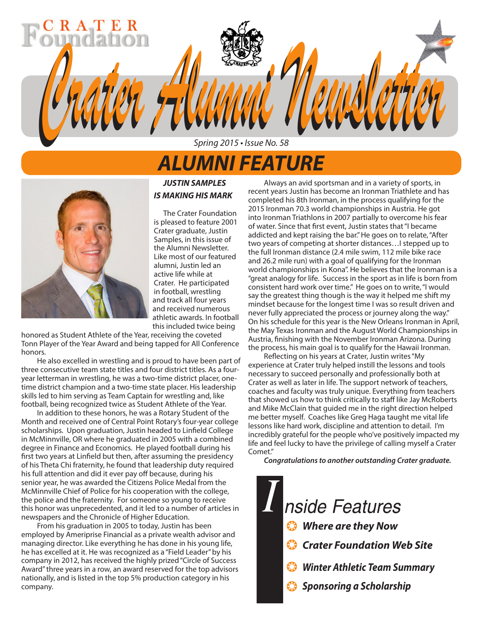## *ALUMNI FEATURE*

Spring 2015 • Issue No. 58

*Crater Alumni Newsletter Crater Alumni Newsletter*



### *JUSTIN SAMPLES IS MAKING HIS MARK*

The Crater Foundation is pleased to feature 2001 Crater graduate, Justin Samples, in this issue of the Alumni Newsletter. Like most of our featured alumni, Justin led an active life while at Crater. He participated in football, wrestling and track all four years and received numerous athletic awards. In football this included twice being

honored as Student Athlete of the Year, receiving the coveted Tonn Player of the Year Award and being tapped for All Conference honors.

He also excelled in wrestling and is proud to have been part of three consecutive team state titles and four district titles. As a fouryear letterman in wrestling, he was a two-time district placer, onetime district champion and a two-time state placer. His leadership skills led to him serving as Team Captain for wrestling and, like football, being recognized twice as Student Athlete of the Year.

In addition to these honors, he was a Rotary Student of the Month and received one of Central Point Rotary's four-year college scholarships. Upon graduation, Justin headed to Linfield College in McMinnville, OR where he graduated in 2005 with a combined degree in Finance and Economics. He played football during his first two years at Linfield but then, after assuming the presidency of his Theta Chi fraternity, he found that leadership duty required his full attention and did it ever pay off because, during his senior year, he was awarded the Citizens Police Medal from the McMinnville Chief of Police for his cooperation with the college, the police and the fraternity. For someone so young to receive this honor was unprecedented, and it led to a number of articles in newspapers and the Chronicle of Higher Education.

From his graduation in 2005 to today, Justin has been employed by Ameriprise Financial as a private wealth advisor and managing director. Like everything he has done in his young life, he has excelled at it. He was recognized as a "Field Leader" by his company in 2012, has received the highly prized "Circle of Success Award" three years in a row, an award reserved for the top advisors nationally, and is listed in the top 5% production category in his company.

Always an avid sportsman and in a variety of sports, in recent years Justin has become an Ironman Triathlete and has completed his 8th Ironman, in the process qualifying for the 2015 Ironman 70.3 world championships in Austria. He got into Ironman Triathlons in 2007 partially to overcome his fear of water. Since that first event, Justin states that "I became addicted and kept raising the bar." He goes on to relate, "After two years of competing at shorter distances…I stepped up to the full Ironman distance (2.4 mile swim, 112 mile bike race and 26.2 mile run) with a goal of qualifying for the Ironman world championships in Kona". He believes that the Ironman is a "great analogy for life. Success in the sport as in life is born from consistent hard work over time." He goes on to write, "I would say the greatest thing though is the way it helped me shift my mindset because for the longest time I was so result driven and never fully appreciated the process or journey along the way." On his schedule for this year is the New Orleans Ironman in April, the May Texas Ironman and the August World Championships in Austria, finishing with the November Ironman Arizona. During the process, his main goal is to qualify for the Hawaii Ironman.

Reflecting on his years at Crater, Justin writes "My experience at Crater truly helped instill the lessons and tools necessary to succeed personally and professionally both at Crater as well as later in life. The support network of teachers, coaches and faculty was truly unique. Everything from teachers that showed us how to think critically to staff like Jay McRoberts and Mike McClain that guided me in the right direction helped me better myself. Coaches like Greg Haga taught me vital life lessons like hard work, discipline and attention to detail. I'm incredibly grateful for the people who've positively impacted my life and feel lucky to have the privilege of calling myself a Crater Comet."

*Congratulations to another outstanding Crater graduate.*

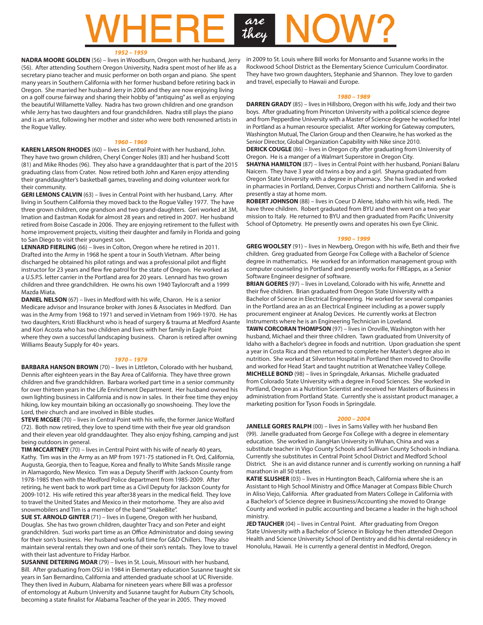# are<br>they

#### *1952 – 1959*

**NADRA MOORE GOLDEN** (56) – lives in Woodburn, Oregon with her husband, Jerry (56). After attending Southern Oregon University, Nadra spent most of her life as a secretary piano teacher and music performer on both organ and piano. She spent many years in Southern California with her former husband before retiring back in Oregon. She married her husband Jerry in 2006 and they are now enjoying living on a golf course fairway and sharing their hobby of "antiquing" as well as enjoying the beautiful Willamette Valley. Nadra has two grown children and one grandson while Jerry has two daughters and four grandchildren. Nadra still plays the piano and is an artist, following her mother and sister who were both renowned artists in the Rogue Valley.

#### *1960 – 1969*

**KAREN LARSON RHODES** (60) – lives in Central Point with her husband, John. They have two grown children, Cheryl Conger Noles (83) and her husband Scott (81) and Mike Rhodes (96). They also have a granddaughter that is part of the 2015 graduating class from Crater. Now retired both John and Karen enjoy attending their granddaughter's basketball games, traveling and doing volunteer work for their community.

**GERI LEMONS CALVIN** (63) – lives in Central Point with her husband, Larry. After living in Southern California they moved back to the Rogue Valley 1977. The have three grown children, one grandson and two grand-daughters. Geri worked at 3M, Imation and Eastman Kodak for almost 28 years and retired in 2007. Her husband retired from Boise Cascade in 2006. They are enjoying retirement to the fullest with home improvement projects, visiting their daughter and family in Florida and going to San Diego to visit their youngest son.

LENNARD FIERLING (66) – lives in Colton, Oregon where he retired in 2011. Drafted into the Army in 1968 he spent a tour in South Vietnam. After being discharged he obtained his pilot ratings and was a professional pilot and flight instructor for 23 years and flew fire patrol for the state of Oregon. He worked as a U.S.P.S. letter carrier in the Portland area for 20 years. Lennard has two grown children and three grandchildren. He owns his own 1940 Taylorcraft and a 1999 Mazda Miata.

**DANIEL NELSON** (67) – lives in Medford with his wife, Charon. He is a senior Medicare advisor and Insurance broker with Jones & Associates in Medford. Dan was in the Army from 1968 to 1971 and served in Vietnam from 1969-1970. He has two daughters, Kristi Blackhurst who is head of surgery & trauma at Medford Asante and Kori Acosta who has two children and lives with her family in Eagle Point where they own a successful landscaping business. Charon is retired after owning Williams Beauty Supply for 40+ years.

#### *1970 – 1979*

**BARBARA HANSON BROWN** (70) – lives in Littleton, Colorado with her husband, Dennis after eighteen years in the Bay Area of California. They have three grown children and five grandchildren. Barbara worked part time in a senior community for over thirteen years in the Life Enrichment Department. Her husband owned his own lighting business in California and is now in sales. In their free time they enjoy hiking, low key mountain biking an occasionally go snowshoeing. They love the Lord, their church and are involved in Bible studies.

**STEVE MCGEE** (70) – lives in Central Point with his wife, the former Janice Wolfard (72). Both now retired, they love to spend time with their five year old grandson and their eleven year old granddaughter. They also enjoy fishing, camping and just being outdoors in general.

**TIM MCCARTNEY** (70) – lives in Central Point with his wife of nearly 40 years, Kathy. Tim was in the Army as an MP from 1971-75 stationed in Ft. Ord, California, Augusta, Georgia, then to Teague, Korea and finally to White Sands Missile range in Alamagordo, New Mexico. Tim was a Deputy Sheriff with Jackson County from 1978-1985 then with the Medford Police department from 1985-2009. After retiring, he went back to work part time as a Civil Deputy for Jackson County for 2009-1012. His wife retired this year after38 years in the medical field. They love to travel the United States and Mexico in their motorhome. They are also avid snowmobilers and Tim is a member of the band "SnakeBite".

**SUE ST. ARNOLD GINTER** (71) – lives in Eugene, Oregon with her husband, Douglas. She has two grown children, daughter Tracy and son Peter and eight grandchildren. Suzi works part time as an Office Administrator and doing sewing for their son's business. Her husband works full time for G&D Chillers. They also maintain several rentals they own and one of their son's rentals. They love to travel with their last adventure to Friday Harbor.

**SUSANNE DETERING MOAR** (79) – lives in St. Louis, Missouri with her husband, Bill. After graduating from OSU in 1984 in Elementary education Susanne taught six years in San Bernardino, California and attended graduate school at UC Riverside. They then lived in Auburn, Alabama for nineteen years where Bill was a professor of entomology at Auburn University and Susanne taught for Auburn City Schools, becoming a state finalist for Alabama Teacher of the year in 2005. They moved

in 2009 to St. Louis where Bill works for Monsanto and Susanne works in the Rockwood School District as the Elementary Science Curriculum Coordinator. They have two grown daughters, Stephanie and Shannon. They love to garden and travel, especially to Hawaii and Europe.

#### *1980 – 1989*

**DARREN GRADY** (85) – lives in Hillsboro, Oregon with his wife, Jody and their two boys. After graduating from Princeton University with a political science degree and from Pepperdine University with a Master of Science degree he worked for Intel in Portland as a human resource specialist. After working for Gateway computers, Washington Mutual, The Clarion Group and then Clearwire, he has worked as the Senior Director, Global Organization Capability with Nike since 2010. **DERICK COUGLE** (86) – lives in Oregon city after graduating from University of Oregon. He is a manger of a Walmart Superstore in Oregon City. **SHAYNA HAMILTON** (87) – lives in Central Point with her husband, Poniani Balaru Naicern. They have 3 year old twins a boy and a girl. Shayna graduated from

Oregon State University with a degree in pharmacy. She has lived in and worked in pharmacies in Portland, Denver, Corpus Christi and northern California. She is presently a stay at home mom.

**ROBERT JOHNSON** (88) – lives in Coeur D Alene, Idaho with his wife, Hedi. The have three children. Robert graduated from BYU and then went on a two year mission to Italy. He returned to BYU and then graduated from Pacific University School of Optometry. He presently owns and operates his own Eye Clinic.

#### *1990 – 1999*

**GREG WOOLSEY** (91) – lives in Newberg, Oregon with his wife, Beth and their five children. Greg graduated from George Fox College with a Bachelor of Science degree in mathematics. He worked for an information management group with computer counseling in Portland and presently works for FIREapps, as a Senior Software Engineer designer of software.

**BRIAN GOERES** (97) – lives in Loveland, Colorado with his wife, Annette and their five children. Brian graduated from Oregon State University with a Bachelor of Science in Electrical Engineering. He worked for several companies in the Portland area an as an Electrical Engineer including as a power supply procurement engineer at Analog Devices. He currently works at Electron Instruments where he is an Engineering Technician in Loveland.

**TAWN CORCORAN THOMPSON** (97) – lives in Oroville, Washington with her husband, Michael and their three children. Tawn graduated from University of Idaho with a Bachelor's degree in foods and nutrition. Upon graduation she spent a year in Costa Rica and then returned to complete her Master's degree also in nutrition. She worked at Silverton Hospital in Portland then moved to Oroville and worked for Head Start and taught nutrition at Wenatchee Valley College. **MICHELLE BOND** (98) – lives in Springdale, Arkansas. Michelle graduated from Colorado State University with a degree in Food Sciences. She worked in Portland, Oregon as a Nutrition Scientist and received her Masters of Business in administration from Portland State. Currently she is assistant product manager, a marketing position for Tyson Foods in Springdale.

#### *2000 – 2004*

JANELLE GORES RALPH (00) - lives in Sams Valley with her husband Ben (99). Janelle graduated from George Fox College with a degree in elementary education. She worked in JiangHan University in Wuhan, China and was a substitute teacher in Vigo County Schools and Sullivan County Schools in Indiana. Currently she substitutes in Central Point School District and Medford School District. She is an avid distance runner and is currently working on running a half marathon in all 50 states.

**KATIE SLUSHER** (03) – lives in Huntington Beach, California where she is an Assistant to High School Ministry and Office Manager at Compass Bible Church in Aliso Viejo, California. After graduated from Maters College in California with a Bachelor's of Science degree in Business/Accounting she moved to Orange County and worked in public accounting and became a leader in the high school ministry.

**JED TAUCHER** (04) – lives in Central Point. After graduating from Oregon State University with a Bachelor of Science in Biology he then attended Oregon Health and Science University School of Dentistry and did his dental residency in Honolulu, Hawaii. He is currently a general dentist in Medford, Oregon.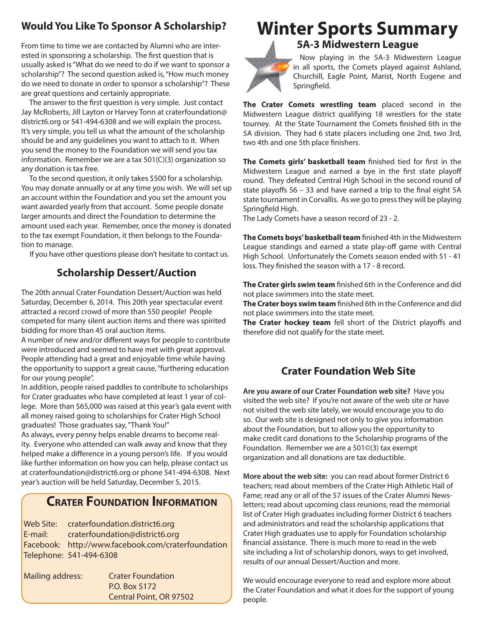## **Would You Like To Sponsor A Scholarship?**

From time to time we are contacted by Alumni who are interested in sponsoring a scholarship. The first question that is usually asked is "What do we need to do if we want to sponsor a scholarship"? The second question asked is, "How much money do we need to donate in order to sponsor a scholarship"? These are great questions and certainly appropriate.

 The answer to the first question is very simple. Just contact Jay McRoberts, Jill Layton or Harvey Tonn at craterfoundation@ district6.org or 541-494-6308 and we will explain the process. It's very simple, you tell us what the amount of the scholarship should be and any guidelines you want to attach to it. When you send the money to the Foundation we will send you tax information. Remember we are a tax 501(C)(3) organization so any donation is tax free.

 To the second question, it only takes \$500 for a scholarship. You may donate annually or at any time you wish. We will set up an account within the Foundation and you set the amount you want awarded yearly from that account. Some people donate larger amounts and direct the Foundation to determine the amount used each year. Remember, once the money is donated to the tax exempt Foundation, it then belongs to the Foundation to manage.

If you have other questions please don't hesitate to contact us.

## **Scholarship Dessert/Auction**

The 20th annual Crater Foundation Dessert/Auction was held Saturday, December 6, 2014. This 20th year spectacular event attracted a record crowd of more than 550 people! People competed for many silent auction items and there was spirited bidding for more than 45 oral auction items.

A number of new and/or different ways for people to contribute were introduced and seemed to have met with great approval. People attending had a great and enjoyable time while having the opportunity to support a great cause, "furthering education for our young people".

In addition, people raised paddles to contribute to scholarships for Crater graduates who have completed at least 1 year of college. More than \$65,000 was raised at this year's gala event with all money raised going to scholarships for Crater High School graduates! Those graduates say, "Thank You!"

As always, every penny helps enable dreams to become reality. Everyone who attended can walk away and know that they helped make a difference in a young person's life. If you would like further information on how you can help, please contact us at craterfoundation@district6.org or phone 541-494-6308. Next year's auction will be held Saturday, December 5, 2015.

## **Crater Foundation Information**

Web Site: craterfoundation.district6.org E-mail: craterfoundation@district6.org Facebook: http://www.facebook.com/craterfoundation Telephone: 541-494-6308

| Mailing address: | <b>Crater Foundation</b> |  |  |  |  |
|------------------|--------------------------|--|--|--|--|
|                  | P.O. Box 5172            |  |  |  |  |
|                  | Central Point, OR 97502  |  |  |  |  |

## **Winter Sports Summary**

**5A-3 Midwestern League**



Now playing in the 5A-3 Midwestern League in all sports, the Comets played against Ashland, Churchill, Eagle Point, Marist, North Eugene and Springfield.

**The Crater Comets wrestling team** placed second in the Midwestern League district qualifying 18 wrestlers for the state tourney. At the State Tournament the Comets finished 6th in the 5A division. They had 6 state placers including one 2nd, two 3rd, two 4th and one 5th place finishers.

**The Comets girls' basketball team** finished tied for first in the Midwestern League and earned a bye in the first state playoff round. They defeated Central High School in the second round of state playoffs 56 – 33 and have earned a trip to the final eight 5A state tournament in Corvallis. As we go to press they will be playing Springfield High.

The Lady Comets have a season record of 23 - 2.

**The Comets boys' basketball team** finished 4th in the Midwestern League standings and earned a state play-off game with Central High School. Unfortunately the Comets season ended with 51 - 41 loss. They finished the season with a 17 - 8 record.

**The Crater girls swim team** finished 6th in the Conference and did not place swimmers into the state meet.

**The Crater boys swim team** finished 6th in the Conference and did not place swimmers into the state meet.

**The Crater hockey team** fell short of the District playoffs and therefore did not qualify for the state meet.

## **Crater Foundation Web Site**

**Are you aware of our Crater Foundation web site?** Have you visited the web site? If you're not aware of the web site or have not visited the web site lately, we would encourage you to do so. Our web site is designed not only to give you information about the Foundation, but to allow you the opportunity to make credit card donations to the Scholarship programs of the Foundation. Remember we are a 501©(3) tax exempt organization and all donations are tax deductible.

**More about the web site:** you can read about former District 6 teachers; read about members of the Crater High Athletic Hall of Fame; read any or all of the 57 issues of the Crater Alumni Newsletters; read about upcoming class reunions; read the memorial list of Crater High graduates including former District 6 teachers and administrators and read the scholarship applications that Crater High graduates use to apply for Foundation scholarship financial assistance. There is much more to read in the web site including a list of scholarship donors, ways to get involved, results of our annual Dessert/Auction and more.

We would encourage everyone to read and explore more about the Crater Foundation and what it does for the support of young people.